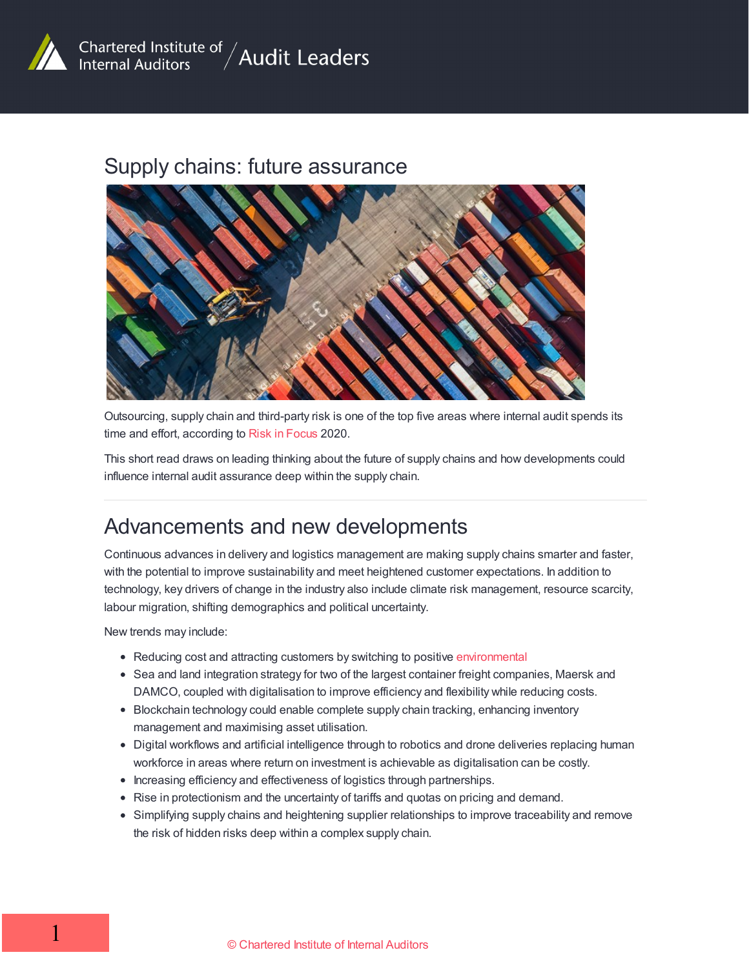

#### Supply chains: future assurance



Outsourcing, supply chain and third-party risk is one of the top five areas where internal audit spends its time and effort, according to Risk in [Focus](https://www.iia.org.uk/policy-and-research/research-reports/risk-in-focus/) 2020.

This short read draws on leading thinking about the future of supply chains and how developments could influence internal audit assurance deep within the supply chain.

### Advancements and new developments

Continuous advances in delivery and logistics management are making supply chains smarter and faster, with the potential to improve sustainability and meet heightened customer expectations. In addition to technology, key drivers of change in the industry also include climate risk management, resource scarcity, labour migration, shifting demographics and political uncertainty.

New trends may include:

- Reducing cost and attracting customers by switching to positive [environmental](http://www.tradeready.ca/2017/topics/supply-chain-management/supply-chain-goes-green-wallet/)
- Sea and land integration strategy for two of the largest container freight companies, Maersk and DAMCO, coupled with digitalisation to improve efficiency and flexibility while reducing costs.
- Blockchain technology could enable complete supply chain tracking, enhancing inventory management and maximising asset utilisation.
- Digital workflows and artificial intelligence through to robotics and drone deliveries replacing human workforce in areas where return on investment is achievable as digitalisation can be costly.
- Increasing efficiency and effectiveness of logistics through partnerships.
- Rise in protectionism and the uncertainty of tariffs and quotas on pricing and demand.
- Simplifying supply chains and heightening supplier relationships to improve traceability and remove the risk of hidden risks deep within a complex supply chain.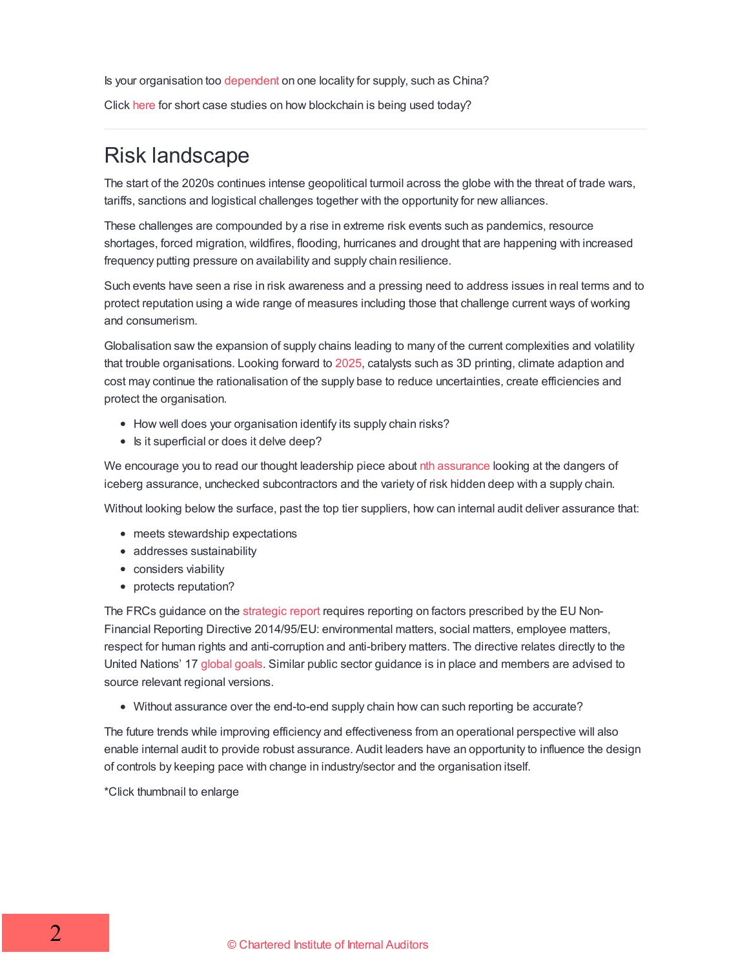Is your organisation too [dependent](http://www.tradeready.ca/2020/featured-stories/china-too-risky-do-you-need-a-new-strategy-for-your-fdi-in-the-face-of-covid-19/) on one locality for supply, such as China?

Click [here](https://openledger.info/insights/blockchain-in-the-supply-chain-use-cases-examples/) for short case studies on how blockchain is being used today?

### Risk landscape

The start of the 2020s continues intense geopolitical turmoil across the globe with the threat of trade wars, tariffs, sanctions and logistical challenges together with the opportunity for new alliances.

These challenges are compounded by a rise in extreme risk events such as pandemics, resource shortages, forced migration, wildfires, flooding, hurricanes and drought that are happening with increased frequency putting pressure on availability and supply chain resilience.

Such events have seen a rise in risk awareness and a pressing need to address issues in real terms and to protect reputation using a wide range of measures including those that challenge current ways of working and consumerism.

Globalisation saw the expansion of supply chains leading to many of the current complexities and volatility that trouble organisations. Looking forward to [2025](https://www.bsr.org/en/our-insights/primers/future-of-supply-chains-2025), catalysts such as 3D printing, climate adaption and cost may continue the rationalisation of the supply base to reduce uncertainties, create efficiencies and protect the organisation.

- How well does your organisation identify its supply chain risks?
- Is it superficial or does it delve deep?

We encourage you to read our thought leadership piece about nth [assurance](/resources/emerging-risks/supply-chains-nth-party-assurance/) looking at the dangers of iceberg assurance, unchecked subcontractors and the variety of risk hidden deep with a supply chain.

Without looking below the surface, past the top tier suppliers, how can internal audit deliver assurance that:

- meets stewardship expectations
- addresses sustainability
- considers viability
- protects reputation?

The FRCs guidance on the [strategic](https://www.frc.org.uk/getattachment/fb05dd7b-c76c-424e-9daf-4293c9fa2d6a/Guidance-on-the-Strategic-Report-31-7-18.pdf) report requires reporting on factors prescribed by the EU Non-Financial Reporting Directive 2014/95/EU: environmental matters, social matters, employee matters, respect for human rights and anti-corruption and anti-bribery matters. The directive relates directly to the United Nations' 17 [global](https://www.globalgoals.org/) goals. Similar public sector guidance is in place and members are advised to source relevant regional versions.

Without assurance over the end-to-end supply chain how can such reporting be accurate?

The future trends while improving efficiency and effectiveness from an operational perspective will also enable internal audit to provide robust assurance. Audit leaders have an opportunity to influence the design of controls by keeping pace with change in industry/sector and the organisation itself.

\*Click thumbnail to enlarge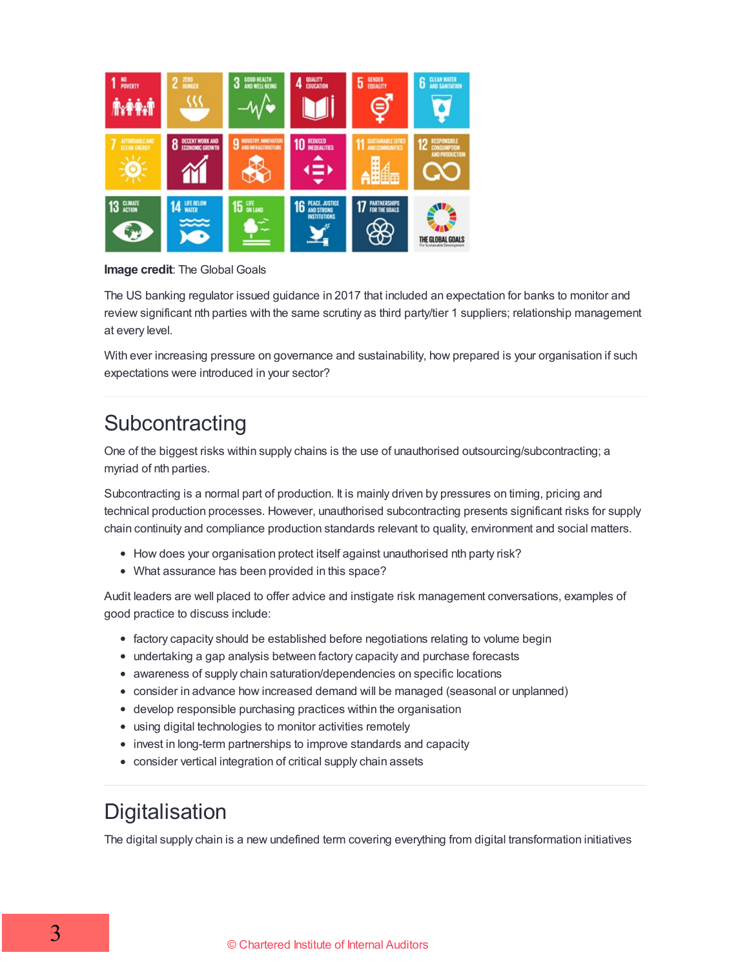

**Image credit**: The Global Goals

The US banking regulator issued guidance in 2017 that included an expectation for banks to monitor and review significant nth parties with the same scrutiny as third party/tier 1 suppliers; relationship management at every level.

With ever increasing pressure on governance and sustainability, how prepared is your organisation if such expectations were introduced in your sector?

# **Subcontracting**

One of the biggest risks within supply chains is the use of unauthorised outsourcing/subcontracting; a myriad of nth parties.

Subcontracting is a normal part of production. It is mainly driven by pressures on timing, pricing and technical production processes. However, unauthorised subcontracting presents significant risks for supply chain continuity and compliance production standards relevant to quality, environment and social matters.

- How does your organisation protect itself against unauthorised nth party risk?
- What assurance has been provided in this space?

Audit leaders are well placed to offer advice and instigate risk management conversations, examples of good practice to discuss include:

- factory capacity should be established before negotiations relating to volume begin
- undertaking a gap analysis between factory capacity and purchase forecasts
- awareness of supply chain saturation/dependencies on specific locations
- consider in advance how increased demand will be managed (seasonal or unplanned)
- develop responsible purchasing practices within the organisation
- using digital technologies to monitor activities remotely
- invest in long-term partnerships to improve standards and capacity
- consider vertical integration of critical supply chain assets

## **Digitalisation**

The digital supply chain is a new undefined term covering everything from digital transformation initiatives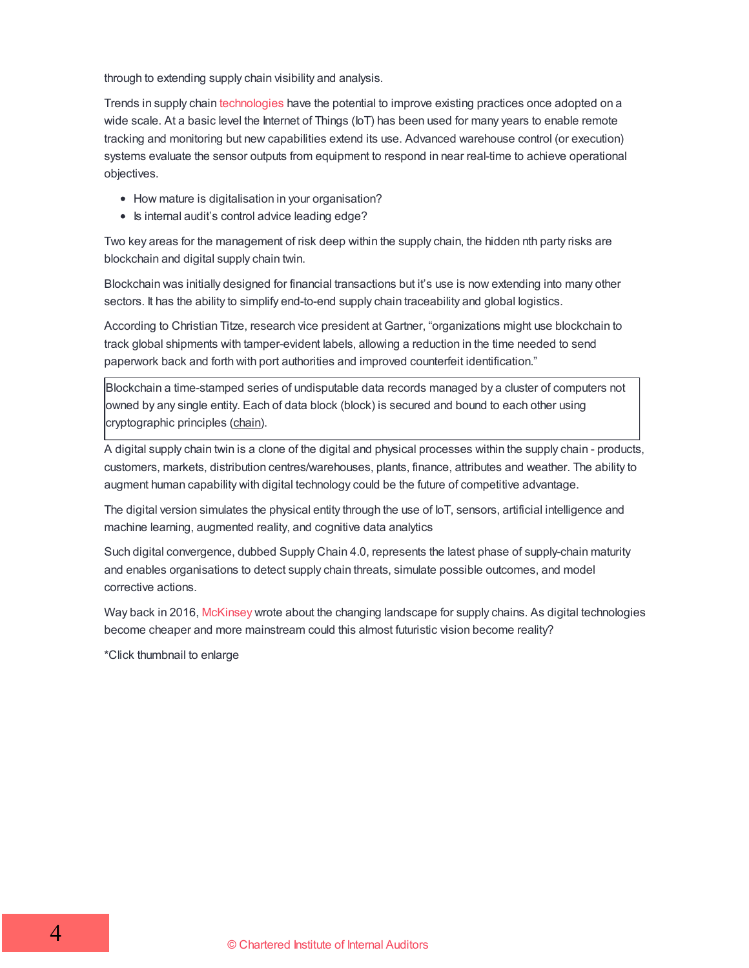through to extending supply chain visibility and analysis.

Trends in supply chain [technologies](https://www.gartner.com/en/newsroom/press-releases/2019-04-24-gartner-identifies-the-top-8-supply-chain-technology-0) have the potential to improve existing practices once adopted on a wide scale. At a basic level the Internet of Things (IoT) has been used for many years to enable remote tracking and monitoring but new capabilities extend its use. Advanced warehouse control (or execution) systems evaluate the sensor outputs from equipment to respond in near real-time to achieve operational objectives.

- How mature is digitalisation in your organisation?
- Is internal audit's control advice leading edge?

Two key areas for the management of risk deep within the supply chain, the hidden nth party risks are blockchain and digital supply chain twin.

Blockchain was initially designed for financial transactions but it's use is now extending into many other sectors. It has the ability to simplify end-to-end supply chain traceability and global logistics.

According to Christian Titze, research vice president at Gartner, "organizations might use blockchain to track global shipments with tamper-evident labels, allowing a reduction in the time needed to send paperwork back and forth with port authorities and improved counterfeit identification."

Blockchain a time-stamped series of undisputable data records managed by a cluster of computers not owned by any single entity. Each of data block (block) is secured and bound to each other using cryptographic principles (chain).

A digital supply chain twin is a clone of the digital and physical processes within the supply chain - products, customers, markets, distribution centres/warehouses, plants, finance, attributes and weather. The ability to augment human capability with digital technology could be the future of competitive advantage.

The digital version simulates the physical entity through the use of IoT, sensors, artificial intelligence and machine learning, augmented reality, and cognitive data analytics

Such digital convergence, dubbed Supply Chain 4.0, represents the latest phase of supply-chain maturity and enables organisations to detect supply chain threats, simulate possible outcomes, and model corrective actions.

Way back in 2016, [McKinsey](https://www.mckinsey.com/business-functions/operations/our-insights/supply-chain-40--the-next-generation-digital-supply-chain) wrote about the changing landscape for supply chains. As digital technologies become cheaper and more mainstream could this almost futuristic vision become reality?

\*Click thumbnail to enlarge